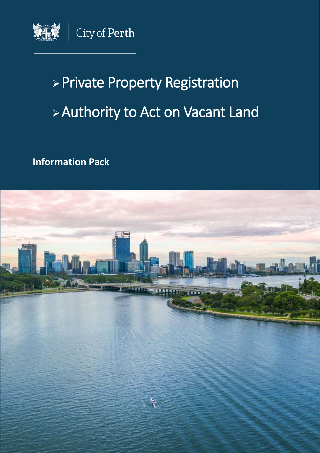

# ➢Private Property Registration ➢Authority to Act on Vacant Land

**Information Pack**

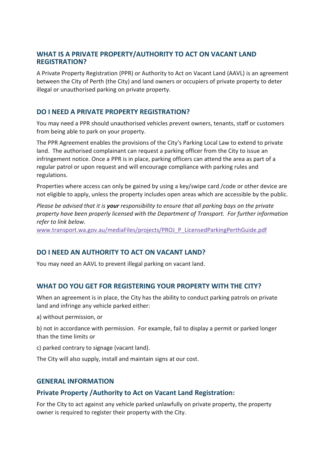#### **WHAT IS A PRIVATE PROPERTY/AUTHORITY TO ACT ON VACANT LAND REGISTRATION?**

A Private Property Registration (PPR) or Authority to Act on Vacant Land (AAVL) is an agreement between the City of Perth (the City) and land owners or occupiers of private property to deter illegal or unauthorised parking on private property.

## **DO I NEED A PRIVATE PROPERTY REGISTRATION?**

You may need a PPR should unauthorised vehicles prevent owners, tenants, staff or customers from being able to park on your property.

The PPR Agreement enables the provisions of the City's Parking Local Law to extend to private land. The authorised complainant can request a parking officer from the City to issue an infringement notice. Once a PPR is in place, parking officers can attend the area as part of a regular patrol or upon request and will encourage compliance with parking rules and regulations.

Properties where access can only be gained by using a key/swipe card /code or other device are not eligible to apply, unless the property includes open areas which are accessible by the public.

*Please be advised that it is your responsibility to ensure that all parking bays on the private property have been properly licensed with the Department of Transport. For further information refer to link below.* 

[www.transport.wa.gov.au/mediaFiles/projects/PROJ\\_P\\_LicensedParkingPerthGuide.pdf](www.transport.wa.gov.au/mediaFiles/projects/PROJ_P_LicensedParkingPerthGuide.pdf)

# **DO I NEED AN AUTHORITY TO ACT ON VACANT LAND?**

You may need an AAVL to prevent illegal parking on vacant land.

# **WHAT DO YOU GET FOR REGISTERING YOUR PROPERTY WITH THE CITY?**

When an agreement is in place, the City has the ability to conduct parking patrols on private land and infringe any vehicle parked either:

a) without permission, or

b) not in accordance with permission. For example, fail to display a permit or parked longer than the time limits or

c) parked contrary to signage (vacant land).

The City will also supply, install and maintain signs at our cost.

#### **GENERAL INFORMATION**

#### **Private Property /Authority to Act on Vacant Land Registration:**

For the City to act against any vehicle parked unlawfully on private property, the property owner is required to register their property with the City.